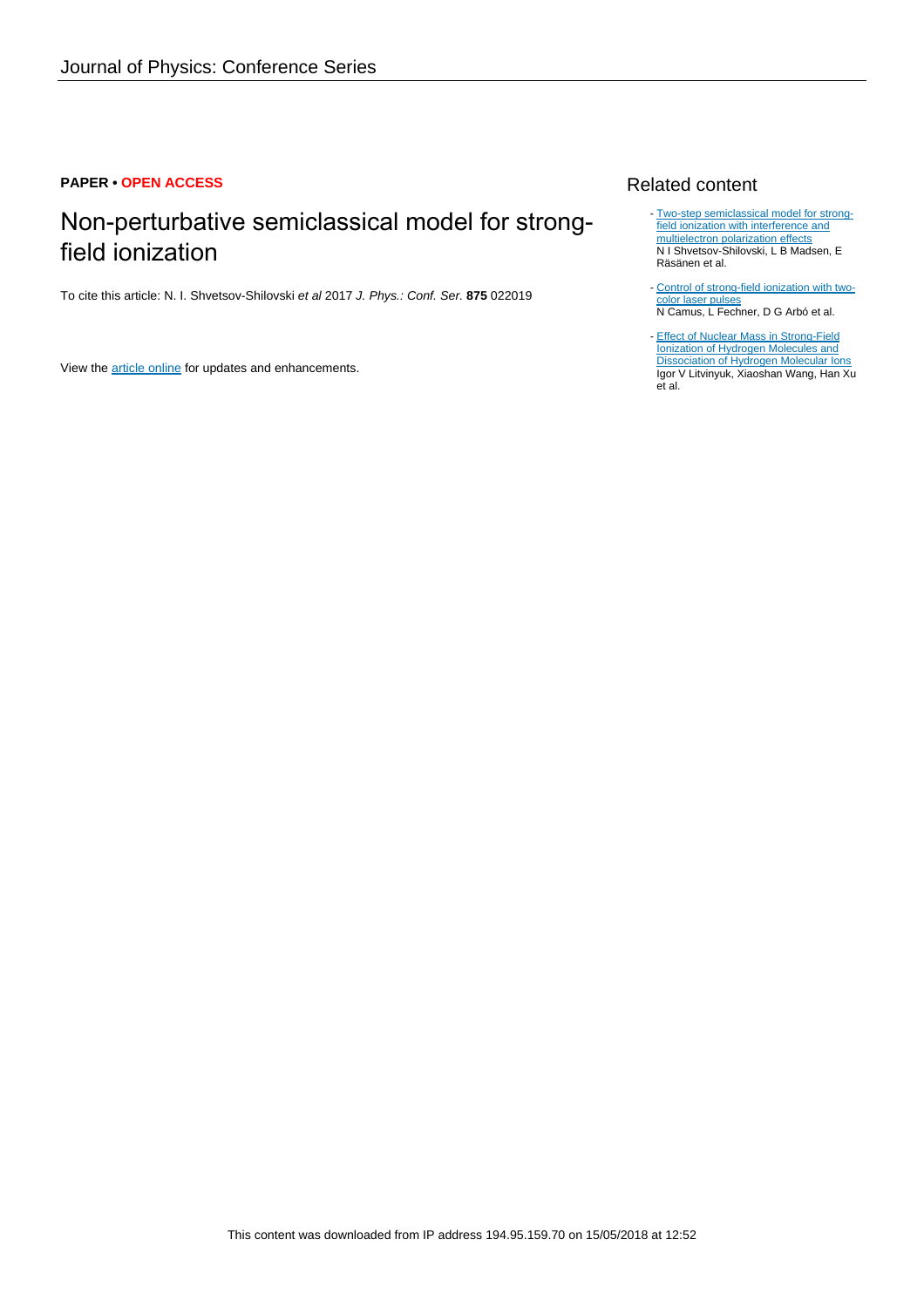### **PAPER • OPEN ACCESS**

# Non-perturbative semiclassical model for strongfield ionization

To cite this article: N. I. Shvetsov-Shilovski et al 2017 J. Phys.: Conf. Ser. **875** 022019

View the [article online](https://doi.org/10.1088/1742-6596/875/3/022019) for updates and enhancements.

## Related content

- [Two-step semiclassical model for strong](http://iopscience.iop.org/article/10.1088/1742-6596/635/9/092047)[field ionization with interference and](http://iopscience.iop.org/article/10.1088/1742-6596/635/9/092047) [multielectron polarization effects](http://iopscience.iop.org/article/10.1088/1742-6596/635/9/092047) N I Shvetsov-Shilovski, L B Madsen, E Räsänen et al.
- [Control of strong-field ionization with two](http://iopscience.iop.org/article/10.1088/1742-6596/635/9/092122)[color laser pulses](http://iopscience.iop.org/article/10.1088/1742-6596/635/9/092122) N Camus, L Fechner, D G Arbó et al.
- **[Effect of Nuclear Mass in Strong-Field](http://iopscience.iop.org/article/10.1088/1742-6596/635/11/112001)** Inization of Hydrogen Molecules and [Dissociation of Hydrogen Molecular Ions](http://iopscience.iop.org/article/10.1088/1742-6596/635/11/112001) Igor V Litvinyuk, Xiaoshan Wang, Han Xu et al.